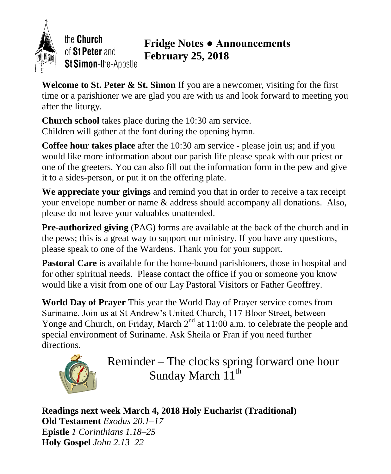

the Church of St Peter and St Simon-the-Apostle

# **Fridge Notes ● Announcements February 25, 2018**

**Welcome to St. Peter & St. Simon** If you are a newcomer, visiting for the first time or a parishioner we are glad you are with us and look forward to meeting you after the liturgy.

**Church school** takes place during the 10:30 am service. Children will gather at the font during the opening hymn.

**Coffee hour takes place** after the 10:30 am service - please join us; and if you would like more information about our parish life please speak with our priest or one of the greeters. You can also fill out the information form in the pew and give it to a sides-person, or put it on the offering plate.

**We appreciate your givings** and remind you that in order to receive a tax receipt your envelope number or name & address should accompany all donations. Also, please do not leave your valuables unattended.

**Pre-authorized giving** (PAG) forms are available at the back of the church and in the pews; this is a great way to support our ministry. If you have any questions, please speak to one of the Wardens. Thank you for your support.

**Pastoral Care** is available for the home-bound parishioners, those in hospital and for other spiritual needs. Please contact the office if you or someone you know would like a visit from one of our Lay Pastoral Visitors or Father Geoffrey.

**World Day of Prayer** This year the World Day of Prayer service comes from Suriname. Join us at St Andrew's United Church, 117 Bloor Street, between Yonge and Church, on Friday, March  $2<sup>nd</sup>$  at 11:00 a.m. to celebrate the people and special environment of Suriname. Ask Sheila or Fran if you need further directions.



Reminder – The clocks spring forward one hour Sunday March 11<sup>th</sup>

**Readings next week March 4, 2018 Holy Eucharist (Traditional) Old Testament** *Exodus 20.1–17* **Epistle** *1 Corinthians 1.18–25* **Holy Gospel** *John 2.13–22*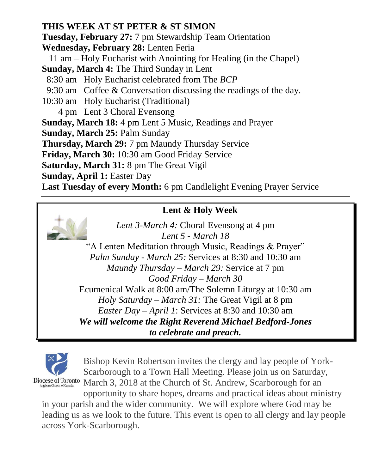### **THIS WEEK AT ST PETER & ST SIMON**

**Tuesday, February 27:** 7 pm Stewardship Team Orientation

**Wednesday, February 28:** Lenten Feria

 11 am – Holy Eucharist with Anointing for Healing (in the Chapel) **Sunday, March 4:** The Third Sunday in Lent

8:30 am Holy Eucharist celebrated from The *BCP*

9:30 am Coffee & Conversation discussing the readings of the day.

10:30 am Holy Eucharist (Traditional)

4 pm Lent 3 Choral Evensong

**Sunday, March 18:** 4 pm Lent 5 Music, Readings and Prayer

**Sunday, March 25:** Palm Sunday

**Thursday, March 29:** 7 pm Maundy Thursday Service

**Friday, March 30:** 10:30 am Good Friday Service

**Saturday, March 31:** 8 pm The Great Vigil

**Sunday, April 1:** Easter Day

**Last Tuesday of every Month:** 6 pm Candlelight Evening Prayer Service

## **Lent & Holy Week**

*Lent 3-March 4:* Choral Evensong at 4 pm *Lent 5 - March 18*  "A Lenten Meditation through Music, Readings & Prayer" *Palm Sunday - March 25:* Services at 8:30 and 10:30 am *Maundy Thursday – March 29:* Service at 7 pm *Good Friday – March 30* Ecumenical Walk at 8:00 am/The Solemn Liturgy at 10:30 am *Holy Saturday – March 31:* The Great Vigil at 8 pm *Easter Day – April 1*: Services at 8:30 and 10:30 am *We will welcome the Right Reverend Michael Bedford-Jones to celebrate and preach.*



Bishop Kevin Robertson invites the clergy and lay people of York-Scarborough to a Town Hall Meeting. Please join us on Saturday, Diocese of Toronto March 3, 2018 at the Church of St. Andrew, Scarborough for an

opportunity to share hopes, dreams and practical ideas about ministry in your parish and the wider community. We will explore where God may be leading us as we look to the future. This event is open to all clergy and lay people across York-Scarborough.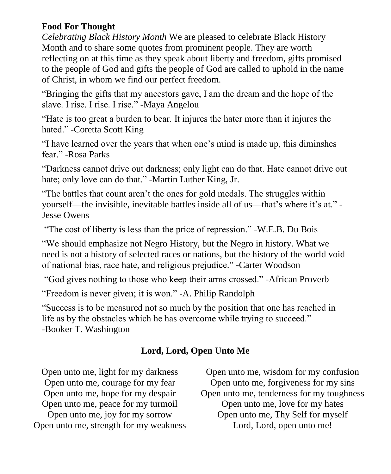#### **Food For Thought**

*Celebrating Black History Month* We are pleased to celebrate Black History Month and to share some quotes from prominent people. They are worth reflecting on at this time as they speak about liberty and freedom, gifts promised to the people of God and gifts the people of God are called to uphold in the name of Christ, in whom we find our perfect freedom.

"Bringing the gifts that my ancestors gave, I am the dream and the hope of the slave. I rise. I rise. I rise." -Maya Angelou

"Hate is too great a burden to bear. It injures the hater more than it injures the hated." -Coretta Scott King

"I have learned over the years that when one's mind is made up, this diminshes fear." -Rosa Parks

"Darkness cannot drive out darkness; only light can do that. Hate cannot drive out hate; only love can do that." -Martin Luther King, Jr.

"The battles that count aren't the ones for gold medals. The struggles within yourself—the invisible, inevitable battles inside all of us—that's where it's at." - Jesse Owens

"The cost of liberty is less than the price of repression." -W.E.B. Du Bois

"We should emphasize not Negro History, but the Negro in history. What we need is not a history of selected races or nations, but the history of the world void of national bias, race hate, and religious prejudice." -Carter Woodson

"God gives nothing to those who keep their arms crossed." -African Proverb

"Freedom is never given; it is won." -A. Philip Randolph

"Success is to be measured not so much by the position that one has reached in life as by the obstacles which he has overcome while trying to succeed." -Booker T. Washington

### **Lord, Lord, Open Unto Me**

Open unto me, light for my darkness Open unto me, courage for my fear Open unto me, hope for my despair Open unto me, peace for my turmoil Open unto me, joy for my sorrow Open unto me, strength for my weakness

Open unto me, wisdom for my confusion Open unto me, forgiveness for my sins Open unto me, tenderness for my toughness Open unto me, love for my hates Open unto me, Thy Self for myself Lord, Lord, open unto me!